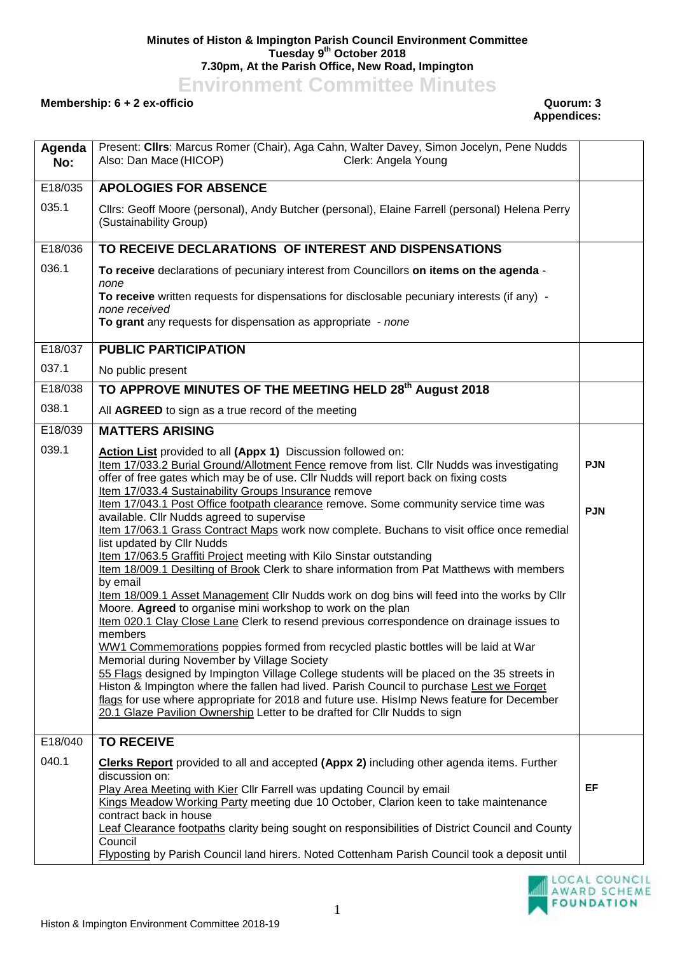## **Minutes of Histon & Impington Parish Council Environment Committee Tuesday 9 th October 2018 7.30pm, At the Parish Office, New Road, Impington**

**Environment Committee Minutes**

## **Membership: 6 + 2 ex-officio Quorum: 3**

**Appendices:** 

| Agenda<br>No: | Present: Cllrs: Marcus Romer (Chair), Aga Cahn, Walter Davey, Simon Jocelyn, Pene Nudds<br>Clerk: Angela Young<br>Also: Dan Mace (HICOP)                                                                                                                                                                                                                          |            |
|---------------|-------------------------------------------------------------------------------------------------------------------------------------------------------------------------------------------------------------------------------------------------------------------------------------------------------------------------------------------------------------------|------------|
| E18/035       | <b>APOLOGIES FOR ABSENCE</b>                                                                                                                                                                                                                                                                                                                                      |            |
| 035.1         | Cllrs: Geoff Moore (personal), Andy Butcher (personal), Elaine Farrell (personal) Helena Perry<br>(Sustainability Group)                                                                                                                                                                                                                                          |            |
| E18/036       | TO RECEIVE DECLARATIONS OF INTEREST AND DISPENSATIONS                                                                                                                                                                                                                                                                                                             |            |
| 036.1         | To receive declarations of pecuniary interest from Councillors on items on the agenda -<br>none<br>To receive written requests for dispensations for disclosable pecuniary interests (if any) -                                                                                                                                                                   |            |
|               | none received<br>To grant any requests for dispensation as appropriate - none                                                                                                                                                                                                                                                                                     |            |
| E18/037       | <b>PUBLIC PARTICIPATION</b>                                                                                                                                                                                                                                                                                                                                       |            |
| 037.1         | No public present                                                                                                                                                                                                                                                                                                                                                 |            |
| E18/038       | TO APPROVE MINUTES OF THE MEETING HELD 28 <sup>th</sup> August 2018                                                                                                                                                                                                                                                                                               |            |
| 038.1         | All AGREED to sign as a true record of the meeting                                                                                                                                                                                                                                                                                                                |            |
| E18/039       | <b>MATTERS ARISING</b>                                                                                                                                                                                                                                                                                                                                            |            |
| 039.1         | Action List provided to all (Appx 1) Discussion followed on:<br>Item 17/033.2 Burial Ground/Allotment Fence remove from list. Cllr Nudds was investigating<br>offer of free gates which may be of use. Cllr Nudds will report back on fixing costs<br>Item 17/033.4 Sustainability Groups Insurance remove                                                        | <b>PJN</b> |
|               | Item 17/043.1 Post Office footpath clearance remove. Some community service time was<br>available. Cllr Nudds agreed to supervise<br>Item 17/063.1 Grass Contract Maps work now complete. Buchans to visit office once remedial<br>list updated by Cllr Nudds                                                                                                     | <b>PJN</b> |
|               | Item 17/063.5 Graffiti Project meeting with Kilo Sinstar outstanding<br>Item 18/009.1 Desilting of Brook Clerk to share information from Pat Matthews with members<br>by email                                                                                                                                                                                    |            |
|               | Item 18/009.1 Asset Management Cllr Nudds work on dog bins will feed into the works by Cllr<br>Moore. Agreed to organise mini workshop to work on the plan<br>Item 020.1 Clay Close Lane Clerk to resend previous correspondence on drainage issues to                                                                                                            |            |
|               | members                                                                                                                                                                                                                                                                                                                                                           |            |
|               | WW1 Commemorations poppies formed from recycled plastic bottles will be laid at War<br>Memorial during November by Village Society                                                                                                                                                                                                                                |            |
|               | 55 Flags designed by Impington Village College students will be placed on the 35 streets in<br>Histon & Impington where the fallen had lived. Parish Council to purchase Lest we Forget<br>flags for use where appropriate for 2018 and future use. Hislmp News feature for December<br>20.1 Glaze Pavilion Ownership Letter to be drafted for Cllr Nudds to sign |            |
| E18/040       | <b>TO RECEIVE</b>                                                                                                                                                                                                                                                                                                                                                 |            |
| 040.1         | <b>Clerks Report</b> provided to all and accepted (Appx 2) including other agenda items. Further<br>discussion on:                                                                                                                                                                                                                                                |            |
|               | Play Area Meeting with Kier Cllr Farrell was updating Council by email<br>Kings Meadow Working Party meeting due 10 October, Clarion keen to take maintenance<br>contract back in house                                                                                                                                                                           | EF         |
|               | Leaf Clearance footpaths clarity being sought on responsibilities of District Council and County<br>Council<br>Flyposting by Parish Council land hirers. Noted Cottenham Parish Council took a deposit until                                                                                                                                                      |            |

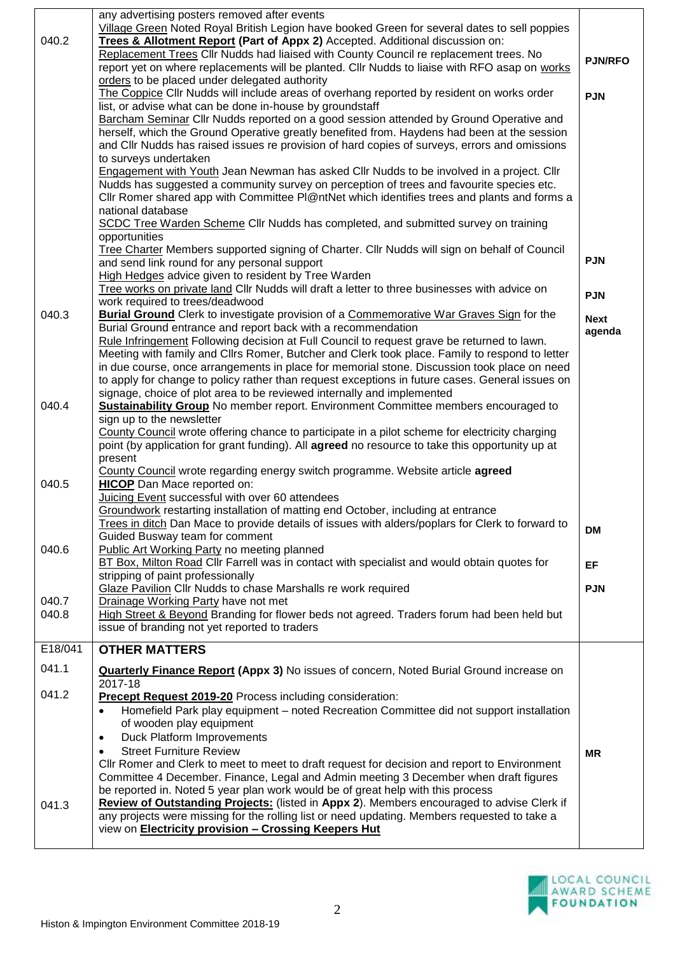|         | any advertising posters removed after events                                                                                                                |                       |
|---------|-------------------------------------------------------------------------------------------------------------------------------------------------------------|-----------------------|
|         | Village Green Noted Royal British Legion have booked Green for several dates to sell poppies                                                                |                       |
| 040.2   | Trees & Allotment Report (Part of Appx 2) Accepted. Additional discussion on:                                                                               |                       |
|         | Replacement Trees Cllr Nudds had liaised with County Council re replacement trees. No                                                                       | <b>PJN/RFO</b>        |
|         | report yet on where replacements will be planted. Cllr Nudds to liaise with RFO asap on works                                                               |                       |
|         | orders to be placed under delegated authority                                                                                                               |                       |
|         | The Coppice Cllr Nudds will include areas of overhang reported by resident on works order                                                                   | <b>PJN</b>            |
|         | list, or advise what can be done in-house by groundstaff<br>Barcham Seminar Cllr Nudds reported on a good session attended by Ground Operative and          |                       |
|         | herself, which the Ground Operative greatly benefited from. Haydens had been at the session                                                                 |                       |
|         | and Cllr Nudds has raised issues re provision of hard copies of surveys, errors and omissions                                                               |                       |
|         | to surveys undertaken                                                                                                                                       |                       |
|         | Engagement with Youth Jean Newman has asked Cllr Nudds to be involved in a project. Cllr                                                                    |                       |
|         | Nudds has suggested a community survey on perception of trees and favourite species etc.                                                                    |                       |
|         | CIIr Romer shared app with Committee PI@ntNet which identifies trees and plants and forms a                                                                 |                       |
|         | national database                                                                                                                                           |                       |
|         | SCDC Tree Warden Scheme Cllr Nudds has completed, and submitted survey on training                                                                          |                       |
|         | opportunities                                                                                                                                               |                       |
|         | Tree Charter Members supported signing of Charter. Cllr Nudds will sign on behalf of Council                                                                |                       |
|         | and send link round for any personal support                                                                                                                | <b>PJN</b>            |
|         | High Hedges advice given to resident by Tree Warden                                                                                                         |                       |
|         | Tree works on private land Cllr Nudds will draft a letter to three businesses with advice on<br>work required to trees/deadwood                             | <b>PJN</b>            |
| 040.3   | Burial Ground Clerk to investigate provision of a Commemorative War Graves Sign for the                                                                     |                       |
|         | Burial Ground entrance and report back with a recommendation                                                                                                | <b>Next</b><br>agenda |
|         | Rule Infringement Following decision at Full Council to request grave be returned to lawn.                                                                  |                       |
|         | Meeting with family and Cllrs Romer, Butcher and Clerk took place. Family to respond to letter                                                              |                       |
|         | in due course, once arrangements in place for memorial stone. Discussion took place on need                                                                 |                       |
|         | to apply for change to policy rather than request exceptions in future cases. General issues on                                                             |                       |
|         | signage, choice of plot area to be reviewed internally and implemented                                                                                      |                       |
| 040.4   | Sustainability Group No member report. Environment Committee members encouraged to<br>sign up to the newsletter                                             |                       |
|         | County Council wrote offering chance to participate in a pilot scheme for electricity charging                                                              |                       |
|         | point (by application for grant funding). All agreed no resource to take this opportunity up at                                                             |                       |
|         | present                                                                                                                                                     |                       |
|         | County Council wrote regarding energy switch programme. Website article agreed                                                                              |                       |
| 040.5   | <b>HICOP</b> Dan Mace reported on:                                                                                                                          |                       |
|         | Juicing Event successful with over 60 attendees                                                                                                             |                       |
|         | Groundwork restarting installation of matting end October, including at entrance                                                                            |                       |
|         | Trees in ditch Dan Mace to provide details of issues with alders/poplars for Clerk to forward to                                                            | <b>DM</b>             |
| 040.6   | Guided Busway team for comment<br>Public Art Working Party no meeting planned                                                                               |                       |
|         | BT Box, Milton Road Cllr Farrell was in contact with specialist and would obtain quotes for                                                                 |                       |
|         | stripping of paint professionally                                                                                                                           | EF                    |
|         | Glaze Pavilion Cllr Nudds to chase Marshalls re work required                                                                                               | <b>PJN</b>            |
| 040.7   | Drainage Working Party have not met                                                                                                                         |                       |
| 040.8   | High Street & Beyond Branding for flower beds not agreed. Traders forum had been held but                                                                   |                       |
|         | issue of branding not yet reported to traders                                                                                                               |                       |
| E18/041 | <b>OTHER MATTERS</b>                                                                                                                                        |                       |
| 041.1   |                                                                                                                                                             |                       |
|         | <b>Quarterly Finance Report (Appx 3)</b> No issues of concern, Noted Burial Ground increase on<br>2017-18                                                   |                       |
| 041.2   | <b>Precept Request 2019-20</b> Process including consideration:                                                                                             |                       |
|         | Homefield Park play equipment - noted Recreation Committee did not support installation<br>$\bullet$                                                        |                       |
|         | of wooden play equipment                                                                                                                                    |                       |
|         | Duck Platform Improvements<br>$\bullet$                                                                                                                     |                       |
|         | <b>Street Furniture Review</b><br>$\bullet$                                                                                                                 | <b>MR</b>             |
|         | CIIr Romer and Clerk to meet to meet to draft request for decision and report to Environment                                                                |                       |
|         | Committee 4 December. Finance, Legal and Admin meeting 3 December when draft figures                                                                        |                       |
|         | be reported in. Noted 5 year plan work would be of great help with this process                                                                             |                       |
| 041.3   | Review of Outstanding Projects: (listed in Appx 2). Members encouraged to advise Clerk if                                                                   |                       |
|         | any projects were missing for the rolling list or need updating. Members requested to take a<br>view on <b>Electricity provision - Crossing Keepers Hut</b> |                       |
|         |                                                                                                                                                             |                       |